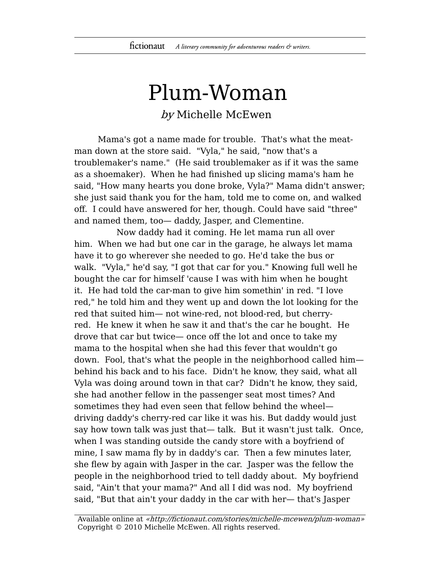## Plum-Woman by Michelle McEwen

Mama's got a name made for trouble. That's what the meatman down at the store said. "Vyla," he said, "now that's a troublemaker's name." (He said troublemaker as if it was the same as a shoemaker). When he had finished up slicing mama's ham he said, "How many hearts you done broke, Vyla?" Mama didn't answer; she just said thank you for the ham, told me to come on, and walked off. I could have answered for her, though. Could have said "three" and named them, too— daddy, Jasper, and Clementine.

Now daddy had it coming. He let mama run all over him. When we had but one car in the garage, he always let mama have it to go wherever she needed to go. He'd take the bus or walk. "Vyla," he'd say, "I got that car for you." Knowing full well he bought the car for himself 'cause I was with him when he bought it. He had told the car-man to give him somethin' in red. "I love red," he told him and they went up and down the lot looking for the red that suited him— not wine-red, not blood-red, but cherryred. He knew it when he saw it and that's the car he bought. He drove that car but twice— once off the lot and once to take my mama to the hospital when she had this fever that wouldn't go down. Fool, that's what the people in the neighborhood called him behind his back and to his face. Didn't he know, they said, what all Vyla was doing around town in that car? Didn't he know, they said, she had another fellow in the passenger seat most times? And sometimes they had even seen that fellow behind the wheel driving daddy's cherry-red car like it was his. But daddy would just say how town talk was just that— talk. But it wasn't just talk. Once, when I was standing outside the candy store with a boyfriend of mine, I saw mama fly by in daddy's car. Then a few minutes later, she flew by again with Jasper in the car. Jasper was the fellow the people in the neighborhood tried to tell daddy about. My boyfriend said, "Ain't that your mama?" And all I did was nod. My boyfriend said, "But that ain't your daddy in the car with her— that's Jasper

Available online at «http://fictionaut.com/stories/michelle-mcewen/plum-woman» Copyright © 2010 Michelle McEwen. All rights reserved.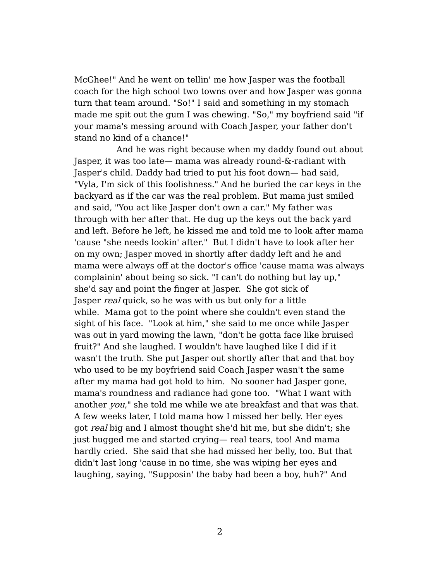McGhee!" And he went on tellin' me how Jasper was the football coach for the high school two towns over and how Jasper was gonna turn that team around. "So!" I said and something in my stomach made me spit out the gum I was chewing. "So," my boyfriend said "if your mama's messing around with Coach Jasper, your father don't stand no kind of a chance!"

And he was right because when my daddy found out about Jasper, it was too late— mama was already round-&-radiant with Jasper's child. Daddy had tried to put his foot down— had said, "Vyla, I'm sick of this foolishness." And he buried the car keys in the backyard as if the car was the real problem. But mama just smiled and said, "You act like Jasper don't own a car." My father was through with her after that. He dug up the keys out the back yard and left. Before he left, he kissed me and told me to look after mama 'cause "she needs lookin' after." But I didn't have to look after her on my own; Jasper moved in shortly after daddy left and he and mama were always off at the doctor's office 'cause mama was always complainin' about being so sick. "I can't do nothing but lay up," she'd say and point the finger at Jasper. She got sick of Jasper *real* quick, so he was with us but only for a little while. Mama got to the point where she couldn't even stand the sight of his face. "Look at him," she said to me once while Jasper was out in yard mowing the lawn, "don't he gotta face like bruised fruit?" And she laughed. I wouldn't have laughed like I did if it wasn't the truth. She put Jasper out shortly after that and that boy who used to be my boyfriend said Coach Jasper wasn't the same after my mama had got hold to him. No sooner had Jasper gone, mama's roundness and radiance had gone too. "What I want with another you," she told me while we ate breakfast and that was that. A few weeks later, I told mama how I missed her belly. Her eyes got real big and I almost thought she'd hit me, but she didn't; she just hugged me and started crying— real tears, too! And mama hardly cried. She said that she had missed her belly, too. But that didn't last long 'cause in no time, she was wiping her eyes and laughing, saying, "Supposin' the baby had been a boy, huh?" And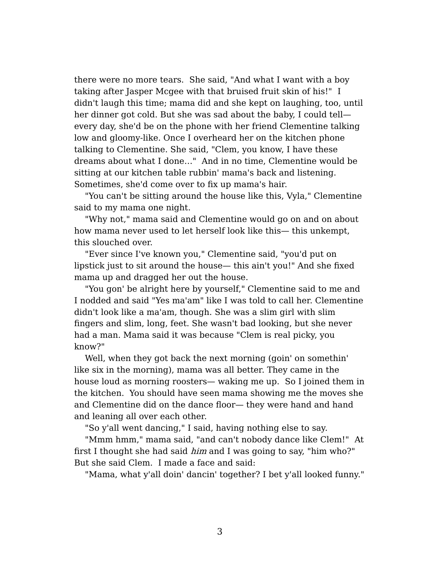there were no more tears. She said, "And what I want with a boy taking after Jasper Mcgee with that bruised fruit skin of his!" I didn't laugh this time; mama did and she kept on laughing, too, until her dinner got cold. But she was sad about the baby, I could tell every day, she'd be on the phone with her friend Clementine talking low and gloomy-like. Once I overheard her on the kitchen phone talking to Clementine. She said, "Clem, you know, I have these dreams about what I done…" And in no time, Clementine would be sitting at our kitchen table rubbin' mama's back and listening. Sometimes, she'd come over to fix up mama's hair.

"You can't be sitting around the house like this, Vyla," Clementine said to my mama one night.

"Why not," mama said and Clementine would go on and on about how mama never used to let herself look like this— this unkempt, this slouched over.

"Ever since I've known you," Clementine said, "you'd put on lipstick just to sit around the house— this ain't you!" And she fixed mama up and dragged her out the house.

"You gon' be alright here by yourself," Clementine said to me and I nodded and said "Yes ma'am" like I was told to call her. Clementine didn't look like a ma'am, though. She was a slim girl with slim fingers and slim, long, feet. She wasn't bad looking, but she never had a man. Mama said it was because "Clem is real picky, you know?"

Well, when they got back the next morning (goin' on somethin' like six in the morning), mama was all better. They came in the house loud as morning roosters— waking me up. So I joined them in the kitchen. You should have seen mama showing me the moves she and Clementine did on the dance floor— they were hand and hand and leaning all over each other.

"So y'all went dancing," I said, having nothing else to say.

"Mmm hmm," mama said, "and can't nobody dance like Clem!" At first I thought she had said him and I was going to say, "him who?" But she said Clem. I made a face and said:

"Mama, what y'all doin' dancin' together? I bet y'all looked funny."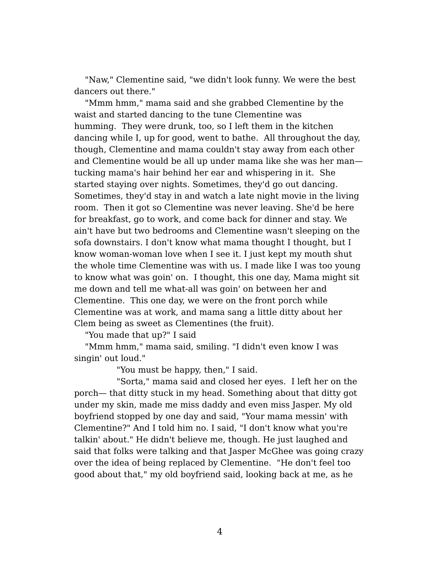"Naw," Clementine said, "we didn't look funny. We were the best dancers out there."

"Mmm hmm," mama said and she grabbed Clementine by the waist and started dancing to the tune Clementine was humming. They were drunk, too, so I left them in the kitchen dancing while I, up for good, went to bathe. All throughout the day, though, Clementine and mama couldn't stay away from each other and Clementine would be all up under mama like she was her man tucking mama's hair behind her ear and whispering in it. She started staying over nights. Sometimes, they'd go out dancing. Sometimes, they'd stay in and watch a late night movie in the living room. Then it got so Clementine was never leaving. She'd be here for breakfast, go to work, and come back for dinner and stay. We ain't have but two bedrooms and Clementine wasn't sleeping on the sofa downstairs. I don't know what mama thought I thought, but I know woman-woman love when I see it. I just kept my mouth shut the whole time Clementine was with us. I made like I was too young to know what was goin' on. I thought, this one day, Mama might sit me down and tell me what-all was goin' on between her and Clementine. This one day, we were on the front porch while Clementine was at work, and mama sang a little ditty about her Clem being as sweet as Clementines (the fruit).

"You made that up?" I said

"Mmm hmm," mama said, smiling. "I didn't even know I was singin' out loud."

"You must be happy, then," I said.

"Sorta," mama said and closed her eyes. I left her on the porch— that ditty stuck in my head. Something about that ditty got under my skin, made me miss daddy and even miss Jasper. My old boyfriend stopped by one day and said, "Your mama messin' with Clementine?" And I told him no. I said, "I don't know what you're talkin' about." He didn't believe me, though. He just laughed and said that folks were talking and that Jasper McGhee was going crazy over the idea of being replaced by Clementine. "He don't feel too good about that," my old boyfriend said, looking back at me, as he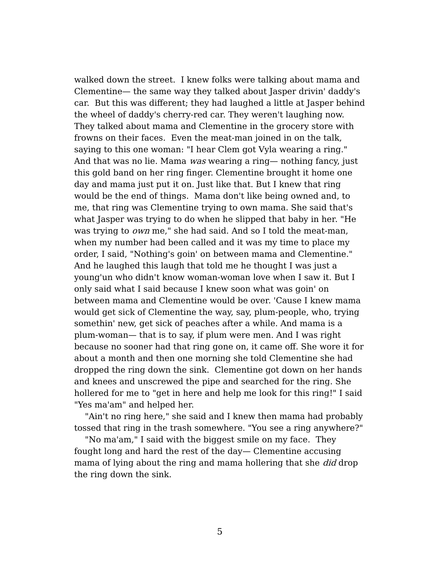walked down the street. I knew folks were talking about mama and Clementine— the same way they talked about Jasper drivin' daddy's car. But this was different; they had laughed a little at Jasper behind the wheel of daddy's cherry-red car. They weren't laughing now. They talked about mama and Clementine in the grocery store with frowns on their faces. Even the meat-man joined in on the talk, saying to this one woman: "I hear Clem got Vyla wearing a ring." And that was no lie. Mama was wearing a ring— nothing fancy, just this gold band on her ring finger. Clementine brought it home one day and mama just put it on. Just like that. But I knew that ring would be the end of things. Mama don't like being owned and, to me, that ring was Clementine trying to own mama. She said that's what Jasper was trying to do when he slipped that baby in her. "He was trying to own me," she had said. And so I told the meat-man, when my number had been called and it was my time to place my order, I said, "Nothing's goin' on between mama and Clementine." And he laughed this laugh that told me he thought I was just a young'un who didn't know woman-woman love when I saw it. But I only said what I said because I knew soon what was goin' on between mama and Clementine would be over. 'Cause I knew mama would get sick of Clementine the way, say, plum-people, who, trying somethin' new, get sick of peaches after a while. And mama is a plum-woman— that is to say, if plum were men. And I was right because no sooner had that ring gone on, it came off. She wore it for about a month and then one morning she told Clementine she had dropped the ring down the sink. Clementine got down on her hands and knees and unscrewed the pipe and searched for the ring. She hollered for me to "get in here and help me look for this ring!" I said "Yes ma'am" and helped her.

"Ain't no ring here," she said and I knew then mama had probably tossed that ring in the trash somewhere. "You see a ring anywhere?"

"No ma'am," I said with the biggest smile on my face. They fought long and hard the rest of the day— Clementine accusing mama of lying about the ring and mama hollering that she *did* drop the ring down the sink.